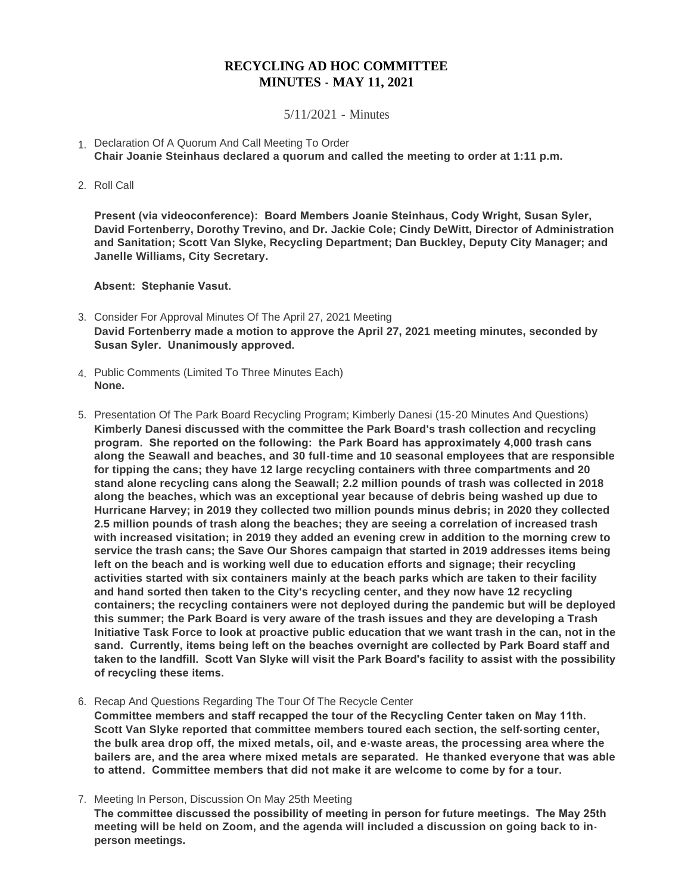## **RECYCLING AD HOC COMMITTEE MINUTES - MAY 11, 2021**

5/11/2021 - Minutes

- 1. Declaration Of A Quorum And Call Meeting To Order **Chair Joanie Steinhaus declared a quorum and called the meeting to order at 1:11 p.m.**
- 2. Roll Call

**Present (via videoconference): Board Members Joanie Steinhaus, Cody Wright, Susan Syler, David Fortenberry, Dorothy Trevino, and Dr. Jackie Cole; Cindy DeWitt, Director of Administration and Sanitation; Scott Van Slyke, Recycling Department; Dan Buckley, Deputy City Manager; and Janelle Williams, City Secretary.**

**Absent: Stephanie Vasut.**

- Consider For Approval Minutes Of The April 27, 2021 Meeting 3. **David Fortenberry made a motion to approve the April 27, 2021 meeting minutes, seconded by Susan Syler. Unanimously approved.**
- Public Comments (Limited To Three Minutes Each) 4. **None.**
- 5. Presentation Of The Park Board Recycling Program; Kimberly Danesi (15-20 Minutes And Questions) **Kimberly Danesi discussed with the committee the Park Board's trash collection and recycling program. She reported on the following: the Park Board has approximately 4,000 trash cans along the Seawall and beaches, and 30 full-time and 10 seasonal employees that are responsible for tipping the cans; they have 12 large recycling containers with three compartments and 20 stand alone recycling cans along the Seawall; 2.2 million pounds of trash was collected in 2018 along the beaches, which was an exceptional year because of debris being washed up due to Hurricane Harvey; in 2019 they collected two million pounds minus debris; in 2020 they collected 2.5 million pounds of trash along the beaches; they are seeing a correlation of increased trash with increased visitation; in 2019 they added an evening crew in addition to the morning crew to service the trash cans; the Save Our Shores campaign that started in 2019 addresses items being left on the beach and is working well due to education efforts and signage; their recycling activities started with six containers mainly at the beach parks which are taken to their facility and hand sorted then taken to the City's recycling center, and they now have 12 recycling containers; the recycling containers were not deployed during the pandemic but will be deployed this summer; the Park Board is very aware of the trash issues and they are developing a Trash Initiative Task Force to look at proactive public education that we want trash in the can, not in the sand. Currently, items being left on the beaches overnight are collected by Park Board staff and taken to the landfill. Scott Van Slyke will visit the Park Board's facility to assist with the possibility of recycling these items.**

6. Recap And Questions Regarding The Tour Of The Recycle Center **Committee members and staff recapped the tour of the Recycling Center taken on May 11th. Scott Van Slyke reported that committee members toured each section, the self-sorting center, the bulk area drop off, the mixed metals, oil, and e-waste areas, the processing area where the bailers are, and the area where mixed metals are separated. He thanked everyone that was able to attend. Committee members that did not make it are welcome to come by for a tour.**

7. Meeting In Person, Discussion On May 25th Meeting

**The committee discussed the possibility of meeting in person for future meetings. The May 25th meeting will be held on Zoom, and the agenda will included a discussion on going back to inperson meetings.**